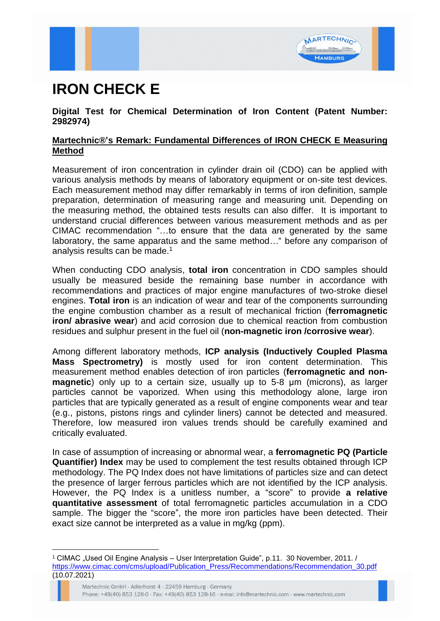

## **IRON CHECK E**

## **Digital Test for Chemical Determination of Iron Content (Patent Number: 2982974)**

## **Martechnic®'s Remark: Fundamental Differences of IRON CHECK E Measuring Method**

Measurement of iron concentration in cylinder drain oil (CDO) can be applied with various analysis methods by means of laboratory equipment or on-site test devices. Each measurement method may differ remarkably in terms of iron definition, sample preparation, determination of measuring range and measuring unit. Depending on the measuring method, the obtained tests results can also differ. It is important to understand crucial differences between various measurement methods and as per CIMAC recommendation "…to ensure that the data are generated by the same laboratory, the same apparatus and the same method…" before any comparison of analysis results can be made.<sup>1</sup>

When conducting CDO analysis, **total iron** concentration in CDO samples should usually be measured beside the remaining base number in accordance with recommendations and practices of major engine manufactures of two-stroke diesel engines. **Total iron** is an indication of wear and tear of the components surrounding the engine combustion chamber as a result of mechanical friction (**ferromagnetic iron/ abrasive wear**) and acid corrosion due to chemical reaction from combustion residues and sulphur present in the fuel oil (**non-magnetic iron /corrosive wear**).

Among different laboratory methods, **ICP analysis (Inductively Coupled Plasma Mass Spectrometry)** is mostly used for iron content determination. This measurement method enables detection of iron particles (**ferromagnetic and nonmagnetic**) only up to a certain size, usually up to 5-8  $\mu$ m (microns), as larger particles cannot be vaporized. When using this methodology alone, large iron particles that are typically generated as a result of engine components wear and tear (e.g., pistons, pistons rings and cylinder liners) cannot be detected and measured. Therefore, low measured iron values trends should be carefully examined and critically evaluated.

In case of assumption of increasing or abnormal wear, a **ferromagnetic PQ (Particle Quantifier) Index** may be used to complement the test results obtained through ICP methodology. The PQ Index does not have limitations of particles size and can detect the presence of larger ferrous particles which are not identified by the ICP analysis. However, the PQ Index is a unitless number, a "score" to provide **a relative quantitative assessment** of total ferromagnetic particles accumulation in a CDO sample. The bigger the "score", the more iron particles have been detected. Their exact size cannot be interpreted as a value in mg/kg (ppm).

<sup>&</sup>lt;sup>1</sup> CIMAC "Used Oil Engine Analysis – User Interpretation Guide", p.11. 30 November, 2011. / [https://www.cimac.com/cms/upload/Publication\\_Press/Recommendations/Recommendation\\_30.pdf](https://www.cimac.com/cms/upload/Publication_Press/Recommendations/Recommendation_30.pdf) (10.07.2021)